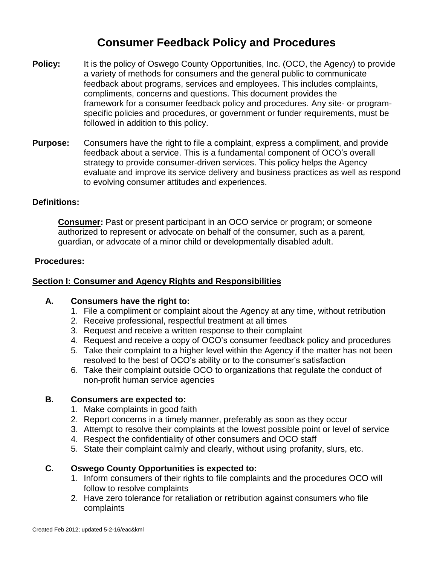## **Consumer Feedback Policy and Procedures**

- **Policy:** It is the policy of Oswego County Opportunities, Inc. (OCO, the Agency) to provide a variety of methods for consumers and the general public to communicate feedback about programs, services and employees. This includes complaints, compliments, concerns and questions. This document provides the framework for a consumer feedback policy and procedures. Any site- or programspecific policies and procedures, or government or funder requirements, must be followed in addition to this policy.
- **Purpose:** Consumers have the right to file a complaint, express a compliment, and provide feedback about a service. This is a fundamental component of OCO's overall strategy to provide consumer-driven services. This policy helps the Agency evaluate and improve its service delivery and business practices as well as respond to evolving consumer attitudes and experiences.

#### **Definitions:**

**Consumer:** Past or present participant in an OCO service or program; or someone authorized to represent or advocate on behalf of the consumer, such as a parent, guardian, or advocate of a minor child or developmentally disabled adult.

#### **Procedures:**

#### **Section I: Consumer and Agency Rights and Responsibilities**

#### **A. Consumers have the right to:**

- 1. File a compliment or complaint about the Agency at any time, without retribution
- 2. Receive professional, respectful treatment at all times
- 3. Request and receive a written response to their complaint
- 4. Request and receive a copy of OCO's consumer feedback policy and procedures
- 5. Take their complaint to a higher level within the Agency if the matter has not been resolved to the best of OCO's ability or to the consumer's satisfaction
- 6. Take their complaint outside OCO to organizations that regulate the conduct of non-profit human service agencies

#### **B. Consumers are expected to:**

- 1. Make complaints in good faith
- 2. Report concerns in a timely manner, preferably as soon as they occur
- 3. Attempt to resolve their complaints at the lowest possible point or level of service
- 4. Respect the confidentiality of other consumers and OCO staff
- 5. State their complaint calmly and clearly, without using profanity, slurs, etc.

#### **C. Oswego County Opportunities is expected to:**

- 1. Inform consumers of their rights to file complaints and the procedures OCO will follow to resolve complaints
- 2. Have zero tolerance for retaliation or retribution against consumers who file complaints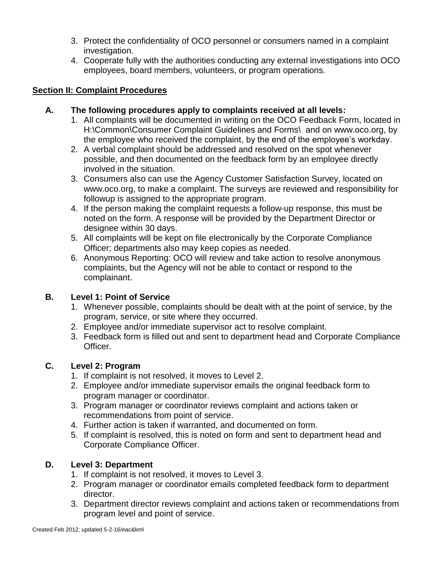- 3. Protect the confidentiality of OCO personnel or consumers named in a complaint investigation.
- 4. Cooperate fully with the authorities conducting any external investigations into OCO employees, board members, volunteers, or program operations.

#### **Section II: Complaint Procedures**

#### **A. The following procedures apply to complaints received at all levels:**

- 1. All complaints will be documented in writing on the OCO Feedback Form, located in H:\Common\Consumer Complaint Guidelines and Forms\ and on www.oco.org, by the employee who received the complaint, by the end of the employee's workday.
- 2. A verbal complaint should be addressed and resolved on the spot whenever possible, and then documented on the feedback form by an employee directly involved in the situation.
- 3. Consumers also can use the Agency Customer Satisfaction Survey, located on www.oco.org, to make a complaint. The surveys are reviewed and responsibility for followup is assigned to the appropriate program.
- 4. If the person making the complaint requests a follow-up response, this must be noted on the form. A response will be provided by the Department Director or designee within 30 days.
- 5. All complaints will be kept on file electronically by the Corporate Compliance Officer; departments also may keep copies as needed.
- 6. Anonymous Reporting: OCO will review and take action to resolve anonymous complaints, but the Agency will not be able to contact or respond to the complainant.

#### **B. Level 1: Point of Service**

- 1. Whenever possible, complaints should be dealt with at the point of service, by the program, service, or site where they occurred.
- 2. Employee and/or immediate supervisor act to resolve complaint.
- 3. Feedback form is filled out and sent to department head and Corporate Compliance Officer.

#### **C. Level 2: Program**

- 1. If complaint is not resolved, it moves to Level 2.
- 2. Employee and/or immediate supervisor emails the original feedback form to program manager or coordinator.
- 3. Program manager or coordinator reviews complaint and actions taken or recommendations from point of service.
- 4. Further action is taken if warranted, and documented on form.
- 5. If complaint is resolved, this is noted on form and sent to department head and Corporate Compliance Officer.

#### **D. Level 3: Department**

- 1. If complaint is not resolved, it moves to Level 3.
- 2. Program manager or coordinator emails completed feedback form to department director.
- 3. Department director reviews complaint and actions taken or recommendations from program level and point of service.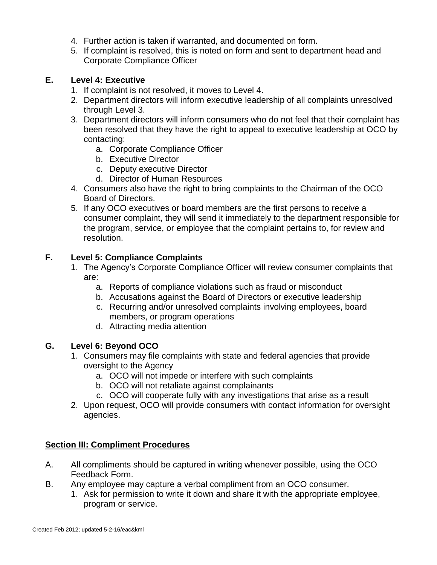- 4. Further action is taken if warranted, and documented on form.
- 5. If complaint is resolved, this is noted on form and sent to department head and Corporate Compliance Officer

#### **E. Level 4: Executive**

- 1. If complaint is not resolved, it moves to Level 4.
- 2. Department directors will inform executive leadership of all complaints unresolved through Level 3.
- 3. Department directors will inform consumers who do not feel that their complaint has been resolved that they have the right to appeal to executive leadership at OCO by contacting:
	- a. Corporate Compliance Officer
	- b. Executive Director
	- c. Deputy executive Director
	- d. Director of Human Resources
- 4. Consumers also have the right to bring complaints to the Chairman of the OCO Board of Directors.
- 5. If any OCO executives or board members are the first persons to receive a consumer complaint, they will send it immediately to the department responsible for the program, service, or employee that the complaint pertains to, for review and resolution.

#### **F. Level 5: Compliance Complaints**

- 1. The Agency's Corporate Compliance Officer will review consumer complaints that are:
	- a. Reports of compliance violations such as fraud or misconduct
	- b. Accusations against the Board of Directors or executive leadership
	- c. Recurring and/or unresolved complaints involving employees, board members, or program operations
	- d. Attracting media attention

#### **G. Level 6: Beyond OCO**

- 1. Consumers may file complaints with state and federal agencies that provide oversight to the Agency
	- a. OCO will not impede or interfere with such complaints
	- b. OCO will not retaliate against complainants
	- c. OCO will cooperate fully with any investigations that arise as a result
- 2. Upon request, OCO will provide consumers with contact information for oversight agencies.

#### **Section III: Compliment Procedures**

- A. All compliments should be captured in writing whenever possible, using the OCO Feedback Form.
- B. Any employee may capture a verbal compliment from an OCO consumer.
	- 1. Ask for permission to write it down and share it with the appropriate employee, program or service.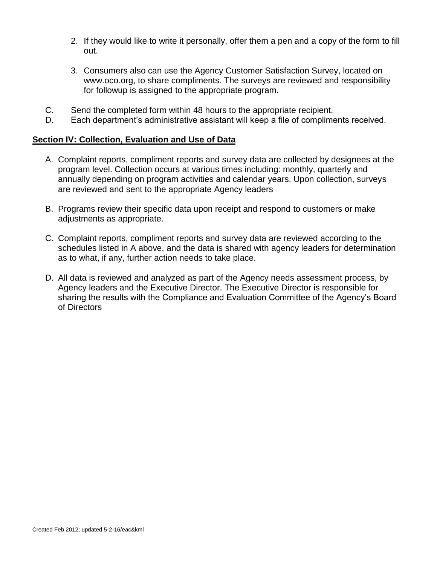- 2. If they would like to write it personally, offer them a pen and a copy of the form to fill out.
- 3. Consumers also can use the Agency Customer Satisfaction Survey, located on www.oco.org, to share compliments. The surveys are reviewed and responsibility for followup is assigned to the appropriate program.
- C. Send the completed form within 48 hours to the appropriate recipient.
- D. Each department's administrative assistant will keep a file of compliments received.

#### **Section IV: Collection, Evaluation and Use of Data**

- A. Complaint reports, compliment reports and survey data are collected by designees at the program level. Collection occurs at various times including: monthly, quarterly and annually depending on program activities and calendar years. Upon collection, surveys are reviewed and sent to the appropriate Agency leaders
- B. Programs review their specific data upon receipt and respond to customers or make adjustments as appropriate.
- C. Complaint reports, compliment reports and survey data are reviewed according to the schedules listed in A above, and the data is shared with agency leaders for determination as to what, if any, further action needs to take place.
- D. All data is reviewed and analyzed as part of the Agency needs assessment process, by Agency leaders and the Executive Director. The Executive Director is responsible for sharing the results with the Compliance and Evaluation Committee of the Agency's Board of Directors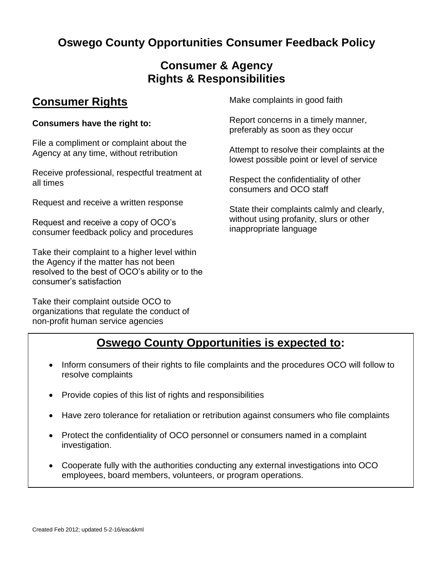# **Oswego County Opportunities Consumer Feedback Policy**

## **Consumer & Agency Rights & Responsibilities**

## **Consumer Rights**

#### **Consumers have the right to:**

File a compliment or complaint about the Agency at any time, without retribution

Receive professional, respectful treatment at all times

Request and receive a written response

Request and receive a copy of OCO's consumer feedback policy and procedures

Take their complaint to a higher level within the Agency if the matter has not been resolved to the best of OCO's ability or to the consumer's satisfaction

Take their complaint outside OCO to organizations that regulate the conduct of non-profit human service agencies

Make complaints in good faith

Report concerns in a timely manner, preferably as soon as they occur

Attempt to resolve their complaints at the lowest possible point or level of service

Respect the confidentiality of other consumers and OCO staff

State their complaints calmly and clearly, without using profanity, slurs or other inappropriate language

## **Oswego County Opportunities is expected to:**

- Inform consumers of their rights to file complaints and the procedures OCO will follow to resolve complaints
- Provide copies of this list of rights and responsibilities
- Have zero tolerance for retaliation or retribution against consumers who file complaints
- Protect the confidentiality of OCO personnel or consumers named in a complaint investigation.
- **Cooperate fully with the authorities conducting any external investigations into OCO Consumers are expected to:** employees, board members, volunteers, or program operations.